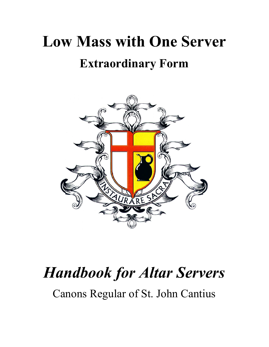# **Low Mass with One Server Extraordinary Form**



# *Handbook for Altar Servers*

Canons Regular of St. John Cantius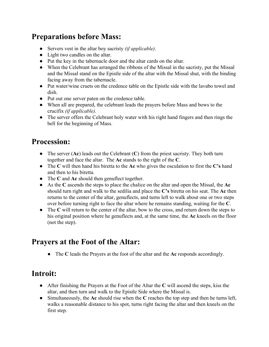#### **Preparations before Mass:**

- Servers vest in the altar boy sacristy *(if applicable).*
- Light two candles on the altar.
- Put the key in the tabernacle door and the altar cards on the altar.
- When the Celebrant has arranged the ribbons of the Missal in the sacristy, put the Missal and the Missal stand on the Epistle side of the altar with the Missal shut, with the binding facing away from the tabernacle.
- Put water/wine cruets on the credence table on the Epistle side with the lavabo towel and dish.
- *●* Put out one server paten on the credence table.
- *●* When all are prepared, the celebrant leads the prayers before Mass and bows to the crucifix *(if applicable).*
- *●* The server offers the Celebrant holy water with his right hand fingers and then rings the bell for the beginning of Mass.

#### **Procession:**

- The server (**Ac**) leads out the Celebrant (**C**) from the priest sacristy. They both turn together and face the altar. The **Ac** stands to the right of the **C**.
- The **C** will then hand his biretta to the **Ac** who gives the osculation to first the **C's** hand and then to his biretta.
- The **C** and **Ac** should then genuflect together.
- As the **C** ascends the steps to place the chalice on the altar and open the Missal, the **Ac** should turn right and walk to the sedilia and place the **C's** biretta on his seat. The **Ac** then returns to the center of the altar, genuflects, and turns left to walk about one or two steps over before turning right to face the altar where he remains standing, waiting for the **C**.
- The C will return to the center of the altar, bow to the cross, and return down the steps to his original position where he genuflects and, at the same time, the **Ac** kneels on the floor (not the step).

#### **Prayers at the Foot of the Altar:**

● The **C** leads the Prayers at the foot of the altar and the **Ac** responds accordingly.

#### **Introit:**

- After finishing the Prayers at the Foot of the Altar the **C** will ascend the steps, kiss the altar, and then turn and walk to the Epistle Side where the Missal is.
- Simultaneously, the **Ac** should rise when the **C** reaches the top step and then he turns left, walks a reasonable distance to his spot, turns right facing the altar and then kneels on the first step.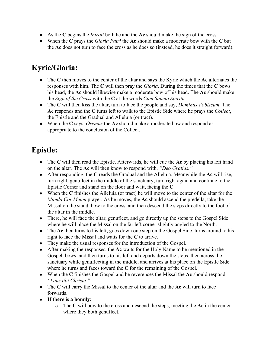- As the **C** begins the *Introit* both he and the **Ac** should make the sign of the cross.
- When the **C** prays the *Gloria Patri* the **Ac** should make a moderate bow with the **C** but the **Ac** does not turn to face the cross as he does so (instead, he does it straight forward).

# **Kyrie/Gloria:**

- The **C** then moves to the center of the altar and says the Kyrie which the **Ac** alternates the responses with him. The **C** will then pray the *Gloria*. During the times that the **C** bows his head, the **Ac** should likewise make a moderate bow of his head. The **Ac** should make the *Sign of the Cross* with the **C** at the words *Cum Sancto Spiritu.*
- The **C** will then kiss the altar, turn to face the people and say, *Dominus Vobiscum.* The **Ac** responds and the **C** turns left to walk to the Epistle Side where he prays the *Collect*, the Epistle and the Gradual and Alleluia (or tract).
- When the **C** says, *Oremus* the **Ac** should make a moderate bow and respond as appropriate to the conclusion of the Collect.

# **Epistle:**

- The **C** will then read the Epistle. Afterwards, he will cue the **Ac** by placing his left hand on the altar. The **Ac** will then know to respond with, *"Deo Gratias."*
- After responding, the **C** reads the Gradual and the Alleluia. Meanwhile the **Ac** will rise, turn right, genuflect in the middle of the sanctuary, turn right again and continue to the Epistle Corner and stand on the floor and wait, facing the **C**.
- When the **C** finishes the Alleluia (or tract) he will move to the center of the altar for the *Munda Cor Meum* prayer. As he moves, the **Ac** should ascend the predella, take the Missal on the stand, bow to the cross, and then descend the steps directly to the foot of the altar in the middle.
- There, he will face the altar, genuflect, and go directly up the steps to the Gospel Side where he will place the Missal on the far left corner slightly angled to the North.
- The **Ac** then turns to his left, goes down one step on the Gospel Side, turns around to his right to face the Missal and waits for the **C** to arrive.
- They make the usual responses for the introduction of the Gospel.
- After making the responses, the **Ac** waits for the Holy Name to be mentioned in the Gospel, bows, and then turns to his left and departs down the steps, then across the sanctuary while genuflecting in the middle, and arrives at his place on the Epistle Side where he turns and faces toward the **C** for the remaining of the Gospel.
- When the **C** finishes the Gospel and he reverences the Missal the **Ac** should respond, *"Laus tibi Christe."*
- The **C** will carry the Missal to the center of the altar and the **Ac** will turn to face forwards.
- **If there is a homily:**
	- o The **C** will bow to the cross and descend the steps, meeting the **Ac** in the center where they both genuflect.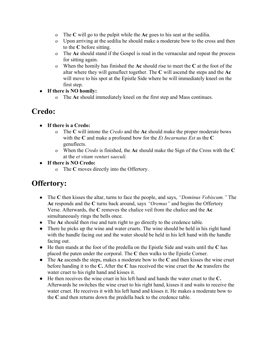- o The **C** will go to the pulpit while the **Ac** goes to his seat at the sedilia.
- o Upon arriving at the sedilia he should make a moderate bow to the cross and then to the **C** before sitting.
- o The **Ac** should stand if the Gospel is read in the vernacular and repeat the process for sitting again.
- o When the homily has finished the **Ac** should rise to meet the **C** at the foot of the altar where they will genuflect together. The **C** will ascend the steps and the **Ac** will move to his spot at the Epistle Side where he will immediately kneel on the first step.
- **If there is NO homily:**
	- o The **Ac** should immediately kneel on the first step and Mass continues.

#### **Credo:**

- **If there is a Credo:**
	- o The **C** will intone the *Credo* and the **Ac** should make the proper moderate bows with the **C** and make a profound bow for the *Et Incarnatus Est* as the **C** genuflects.
	- o When the *Credo* is finished, the **Ac** should make the Sign of the Cross with the **C** at the *et vitam venturi saeculi.*
- **If there is NO Credo:**
	- o The **C** moves directly into the Offertory.

#### **Offertory:**

- The **C** then kisses the altar, turns to face the people, and says, *"Dominus Vobiscum."* The **Ac** responds and the **C** turns back around, says *"Oremus"* and begins the Offertory Verse. Afterwards, the **C** removes the chalice veil from the chalice and the **Ac** simultaneously rings the bells once.
- The **Ac** should then rise and turn right to go directly to the credence table.
- There he picks up the wine and water cruets. The wine should be held in his right hand with the handle facing out and the water should be held in his left hand with the handle facing out.
- He then stands at the foot of the predella on the Epistle Side and waits until the **C** has placed the paten under the corporal. The **C** then walks to the Epistle Corner.
- The **Ac** ascends the steps, makes a moderate bow to the **C** and then kisses the wine cruet before handing it to the **C.** After the **C** has received the wine cruet the **Ac** transfers the water cruet to his right hand and kisses it.
- He then receives the wine cruet in his left hand and hands the water cruet to the **C.** Afterwards he switches the wine cruet to his right hand, kisses it and waits to receive the water cruet. He receives it with his left hand and kisses it. He makes a moderate bow to the **C** and then returns down the predella back to the credence table.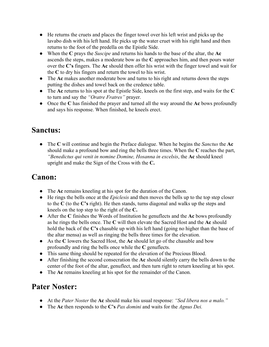- He returns the cruets and places the finger towel over his left wrist and picks up the lavabo dish with his left hand. He picks up the water cruet with his right hand and then returns to the foot of the predella on the Epistle Side.
- When the **C** prays the *Suscipe* and returns his hands to the base of the altar, the **Ac** ascends the steps, makes a moderate bow as the **C** approaches him, and then pours water over the **C's** fingers. The **Ac** should then offer his wrist with the finger towel and wait for the **C** to dry his fingers and return the towel to his wrist.
- The **Ac** makes another moderate bow and turns to his right and returns down the steps putting the dishes and towel back on the credence table.
- The **Ac** returns to his spot at the Epistle Side, kneels on the first step, and waits for the **C** to turn and say the *"Oratre Fratres"* prayer.
- Once the **C** has finished the prayer and turned all the way around the **Ac** bows profoundly and says his response. When finished, he kneels erect.

#### **Sanctus:**

● The **C** will continue and begin the Preface dialogue. When he begins the *Sanctus* the **Ac** should make a profound bow and ring the bells three times. When the **C** reaches the part, *"Benedictus qui venit in nomine Domine, Hosanna in excelsis*, the **Ac** should kneel upright and make the Sign of the Cross with the **C.**

#### **Canon:**

- The **Ac** remains kneeling at his spot for the duration of the Canon.
- He rings the bells once at the *Epiclesis* and then moves the bells up to the top step closer to the **C** (to the **C's** right). He then stands, turns diagonal and walks up the steps and kneels on the top step to the right of the **C.**
- After the **C** finishes the Words of Institution he genuflects and the **Ac** bows profoundly as he rings the bells once. The **C** will then elevate the Sacred Host and the **Ac** should hold the back of the **C's** chasuble up with his left hand (going no higher than the base of the altar mensa) as well as ringing the bells three times for the elevation.
- As the **C** lowers the Sacred Host, the **Ac** should let go of the chasuble and bow profoundly and ring the bells once while the **C** genuflects.
- This same thing should be repeated for the elevation of the Precious Blood.
- After finishing the second consecration the **Ac** should silently carry the bells down to the center of the foot of the altar, genuflect, and then turn right to return kneeling at his spot.
- The **Ac** remains kneeling at his spot for the remainder of the Canon.

#### **Pater Noster:**

- At the *Pater Noster* the **Ac** should make his usual response: *"Sed libera nos a malo."*
- The **Ac** then responds to the **C's** *Pax domini* and waits for the *Agnus Dei.*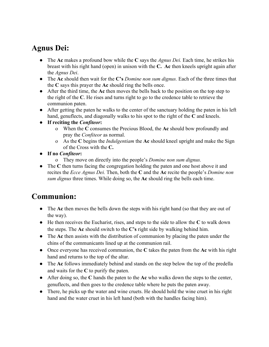#### **Agnus Dei:**

- The **Ac** makes a profound bow while the **C** says the *Agnus Dei.* Each time, he strikes his breast with his right hand (open) in unison with the **C. Ac** then kneels upright again after the *Agnus Dei*.
- The **Ac** should then wait for the **C's** *Domine non sum dignus.* Each of the three times that the **C** says this prayer the **Ac** should ring the bells once.
- After the third time, the **Ac** then moves the bells back to the position on the top step to the right of the **C**. He rises and turns right to go to the credence table to retrieve the communion paten.
- After getting the paten he walks to the center of the sanctuary holding the paten in his left hand, genuflects, and diagonally walks to his spot to the right of the **C** and kneels.
- **If reciting the** *Confiteor***:**
	- o When the **C** consumes the Precious Blood, the **Ac** should bow profoundly and pray the *Confiteor* as normal.
	- o As the **C** begins the *Indulgentiam* the **Ac** should kneel upright and make the Sign of the Cross with the **C.**
- **If no** *Confiteor***:**
	- o They move on directly into the people's *Domine non sum dignus.*
- The C then turns facing the congregation holding the paten and one host above it and recites the *Ecce Agnus Dei.* Then, both the **C** and the **Ac** recite the people's *Domine non sum dignus* three times. While doing so, the **Ac** should ring the bells each time.

## **Communion:**

- The **Ac** then moves the bells down the steps with his right hand (so that they are out of the way).
- He then receives the Eucharist, rises, and steps to the side to allow the **C** to walk down the steps. The **Ac** should switch to the **C's** right side by walking behind him.
- The **Ac** then assists with the distribution of communion by placing the paten under the chins of the communicants lined up at the communion rail.
- Once everyone has received communion, the **C** takes the paten from the **Ac** with his right hand and returns to the top of the altar.
- The **Ac** follows immediately behind and stands on the step below the top of the predella and waits for the **C** to purify the paten.
- After doing so, the **C** hands the paten to the **Ac** who walks down the steps to the center, genuflects, and then goes to the credence table where he puts the paten away.
- There, he picks up the water and wine cruets. He should hold the wine cruet in his right hand and the water cruet in his left hand (both with the handles facing him).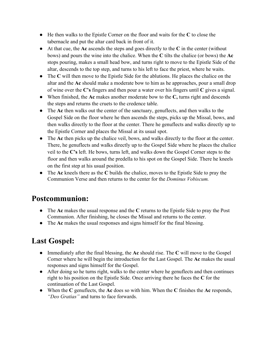- He then walks to the Epistle Corner on the floor and waits for the **C** to close the tabernacle and put the altar card back in front of it.
- At that cue, the **Ac** ascends the steps and goes directly to the **C** in the center (without bows) and pours the wine into the chalice. When the **C** tilts the chalice (or bows) the **Ac** stops pouring, makes a small head bow, and turns right to move to the Epistle Side of the altar, descends to the top step, and turns to his left to face the priest, where he waits.
- The **C** will then move to the Epistle Side for the ablutions. He places the chalice on the altar and the **Ac** should make a moderate bow to him as he approaches, pour a small drop of wine over the **C's** fingers and then pour a water over his fingers until **C** gives a signal.
- When finished, the **Ac** makes another moderate bow to the **C,** turns right and descends the steps and returns the cruets to the credence table.
- The **Ac** then walks out the center of the sanctuary, genuflects, and then walks to the Gospel Side on the floor where he then ascends the steps, picks up the Missal, bows, and then walks directly to the floor at the center. There he genuflects and walks directly up to the Epistle Corner and places the Missal at its usual spot.
- The **Ac** then picks up the chalice veil, bows, and walks directly to the floor at the center. There, he genuflects and walks directly up to the Gospel Side where he places the chalice veil to the **C's** left. He bows, turns left, and walks down the Gospel Corner steps to the floor and then walks around the predella to his spot on the Gospel Side. There he kneels on the first step at his usual position.
- The **Ac** kneels there as the **C** builds the chalice, moves to the Epistle Side to pray the Communion Verse and then returns to the center for the *Dominus Vobiscum.*

#### **Postcommunion:**

- The **Ac** makes the usual response and the **C** returns to the Epistle Side to pray the Post Communion. After finishing, he closes the Missal and returns to the center.
- The **Ac** makes the usual responses and signs himself for the final blessing.

## **Last Gospel:**

- Immediately after the final blessing, the **Ac** should rise. The **C** will move to the Gospel Corner where he will begin the introduction for the Last Gospel. The **Ac** makes the usual responses and signs himself for the Gospel.
- After doing so he turns right, walks to the center where he genuflects and then continues right to his position on the Epistle Side. Once arriving there he faces the **C** for the continuation of the Last Gospel.
- When the **C** genuflects, the **Ac** does so with him. When the **C** finishes the **Ac** responds, *"Deo Gratias"* and turns to face forwards.